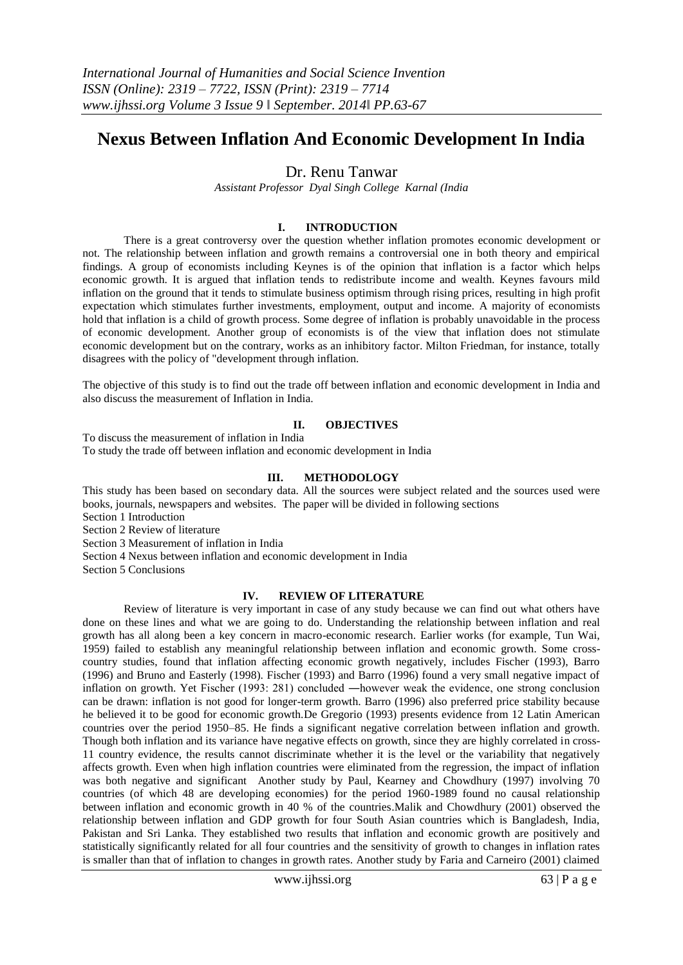# **Nexus Between Inflation And Economic Development In India**

# Dr. Renu Tanwar

*Assistant Professor Dyal Singh College Karnal (India*

## **I. INTRODUCTION**

There is a great controversy over the question whether inflation promotes economic development or not. The relationship between inflation and growth remains a controversial one in both theory and empirical findings. A group of economists including Keynes is of the opinion that inflation is a factor which helps economic growth. It is argued that inflation tends to redistribute income and wealth. Keynes favours mild inflation on the ground that it tends to stimulate business optimism through rising prices, resulting in high profit expectation which stimulates further investments, employment, output and income. A majority of economists hold that inflation is a child of growth process. Some degree of inflation is probably unavoidable in the process of economic development. Another group of economists is of the view that inflation does not stimulate economic development but on the contrary, works as an inhibitory factor. Milton Friedman, for instance, totally disagrees with the policy of "development through inflation.

The objective of this study is to find out the trade off between inflation and economic development in India and also discuss the measurement of Inflation in India.

## **II. OBJECTIVES**

To discuss the measurement of inflation in India To study the trade off between inflation and economic development in India

#### **III. METHODOLOGY**

This study has been based on secondary data. All the sources were subject related and the sources used were books, journals, newspapers and websites. The paper will be divided in following sections

Section 1 Introduction

Section 2 Review of literature

Section 3 Measurement of inflation in India

Section 4 Nexus between inflation and economic development in India

Section 5 Conclusions

## **IV. REVIEW OF LITERATURE**

Review of literature is very important in case of any study because we can find out what others have done on these lines and what we are going to do. Understanding the relationship between inflation and real growth has all along been a key concern in macro-economic research. Earlier works (for example, Tun Wai, 1959) failed to establish any meaningful relationship between inflation and economic growth. Some crosscountry studies, found that inflation affecting economic growth negatively, includes Fischer (1993), Barro (1996) and Bruno and Easterly (1998). Fischer (1993) and Barro (1996) found a very small negative impact of inflation on growth. Yet Fischer (1993: 281) concluded ―however weak the evidence, one strong conclusion can be drawn: inflation is not good for longer-term growth. Barro (1996) also preferred price stability because he believed it to be good for economic growth.De Gregorio (1993) presents evidence from 12 Latin American countries over the period 1950–85. He finds a significant negative correlation between inflation and growth. Though both inflation and its variance have negative effects on growth, since they are highly correlated in cross-11 country evidence, the results cannot discriminate whether it is the level or the variability that negatively affects growth. Even when high inflation countries were eliminated from the regression, the impact of inflation was both negative and significant Another study by Paul, Kearney and Chowdhury (1997) involving 70 countries (of which 48 are developing economies) for the period 1960-1989 found no causal relationship between inflation and economic growth in 40 % of the countries.Malik and Chowdhury (2001) observed the relationship between inflation and GDP growth for four South Asian countries which is Bangladesh, India, Pakistan and Sri Lanka. They established two results that inflation and economic growth are positively and statistically significantly related for all four countries and the sensitivity of growth to changes in inflation rates is smaller than that of inflation to changes in growth rates. Another study by Faria and Carneiro (2001) claimed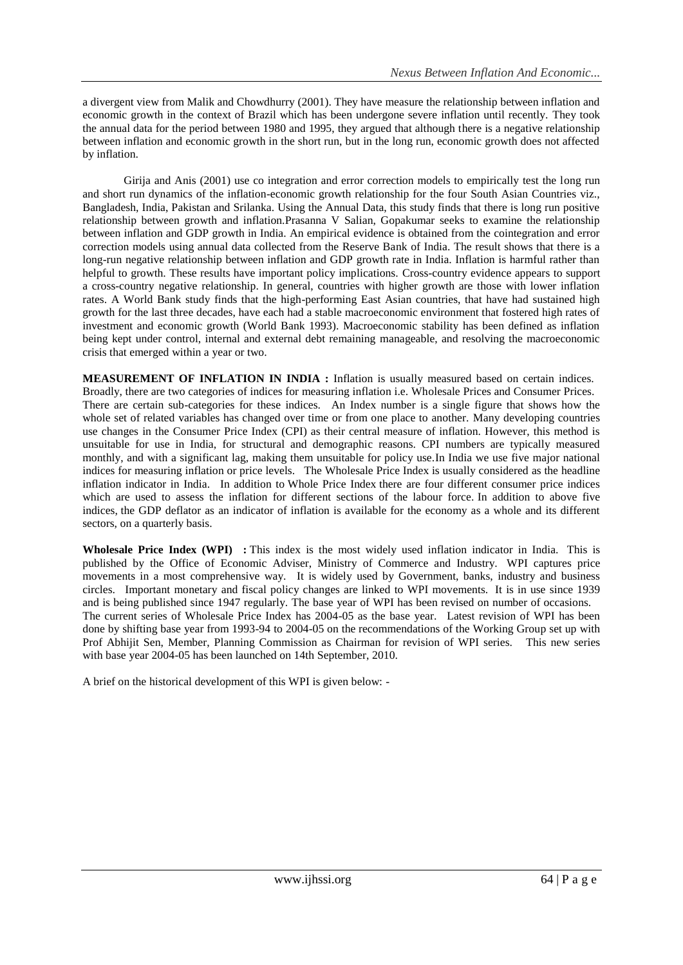a divergent view from Malik and Chowdhurry (2001). They have measure the relationship between inflation and economic growth in the context of Brazil which has been undergone severe inflation until recently. They took the annual data for the period between 1980 and 1995, they argued that although there is a negative relationship between inflation and economic growth in the short run, but in the long run, economic growth does not affected by inflation.

Girija and Anis (2001) use co integration and error correction models to empirically test the long run and short run dynamics of the inflation-economic growth relationship for the four South Asian Countries viz., Bangladesh, India, Pakistan and Srilanka. Using the Annual Data, this study finds that there is long run positive relationship between growth and inflation.Prasanna V Salian, Gopakumar seeks to examine the relationship between inflation and GDP growth in India. An empirical evidence is obtained from the cointegration and error correction models using annual data collected from the Reserve Bank of India. The result shows that there is a long-run negative relationship between inflation and GDP growth rate in India. Inflation is harmful rather than helpful to growth. These results have important policy implications. Cross-country evidence appears to support a cross-country negative relationship. In general, countries with higher growth are those with lower inflation rates. A World Bank study finds that the high-performing East Asian countries, that have had sustained high growth for the last three decades, have each had a stable macroeconomic environment that fostered high rates of investment and economic growth (World Bank 1993). Macroeconomic stability has been defined as inflation being kept under control, internal and external debt remaining manageable, and resolving the macroeconomic crisis that emerged within a year or two.

**MEASUREMENT OF INFLATION IN INDIA :** Inflation is usually measured based on certain indices. Broadly, there are two categories of indices for measuring inflation i.e. Wholesale Prices and Consumer Prices. There are certain sub-categories for these indices. An Index number is a single figure that shows how the whole set of related variables has changed over time or from one place to another. Many developing countries use changes in the [Consumer Price Index](http://en.wikipedia.org/wiki/Consumer_Price_Index) (CPI) as their central measure of inflation. However, this method is unsuitable for use in India, for structural and demographic reasons. CPI numbers are typically measured monthly, and with a significant lag, making them unsuitable for policy use.In India we use five major national indices for measuring inflation or price levels. The Wholesale Price Index is usually considered as the headline inflation indicator in India. In addition to Whole Price Index there are four different consumer price indices which are used to assess the inflation for different sections of the labour force. In addition to above five indices, the GDP deflator as an indicator of inflation is available for the economy as a whole and its different sectors, on a quarterly basis.

**Wholesale Price Index (WPI) :** This index is the most widely used inflation indicator in India. This is published by the Office of Economic Adviser, Ministry of Commerce and Industry. WPI captures price movements in a most comprehensive way. It is widely used by Government, banks, industry and business circles. Important monetary and fiscal policy changes are linked to WPI movements. It is in use since 1939 and is being published since 1947 regularly. The base year of WPI has been revised on number of occasions. The current series of Wholesale Price Index has 2004-05 as the base year. Latest revision of WPI has been done by shifting base year from 1993-94 to 2004-05 on the recommendations of the Working Group set up with Prof Abhijit Sen, Member, Planning Commission as Chairman for revision of WPI series. This new series with base year 2004-05 has been launched on 14th September, 2010.

A brief on the historical development of this WPI is given below: -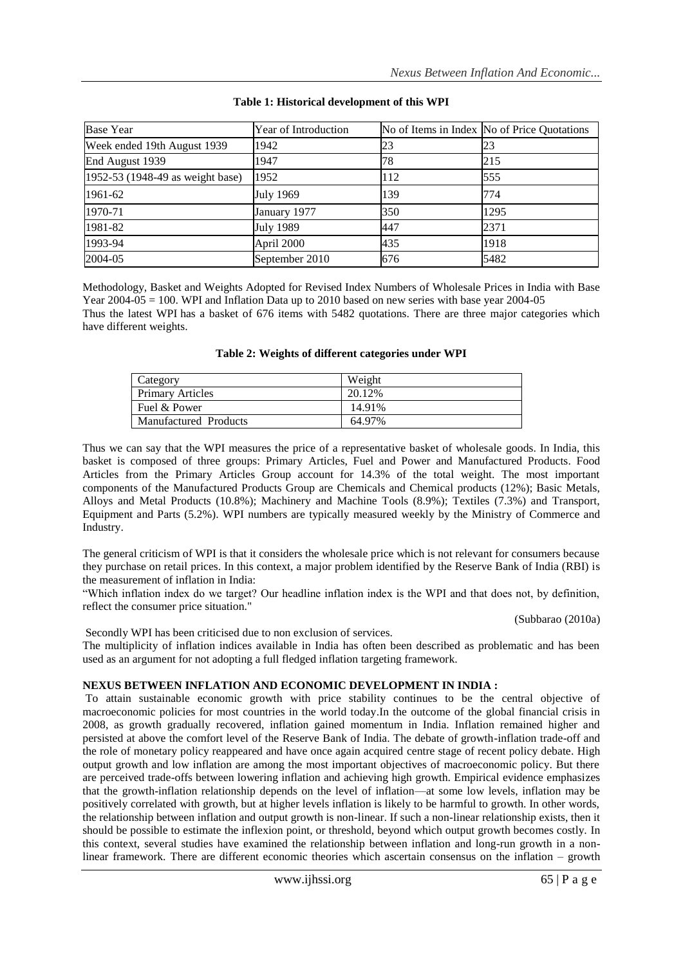| <b>Base Year</b>                 | Year of Introduction |     | No of Items in Index No of Price Quotations |
|----------------------------------|----------------------|-----|---------------------------------------------|
| Week ended 19th August 1939      | 1942                 | 23  | 23                                          |
| End August 1939                  | 1947                 | 78  | 215                                         |
| 1952-53 (1948-49 as weight base) | 1952                 | 112 | 555                                         |
| 1961-62                          | <b>July 1969</b>     | 139 | 774                                         |
| 1970-71                          | January 1977         | 350 | 1295                                        |
| 1981-82                          | <b>July 1989</b>     | 447 | 2371                                        |
| 1993-94                          | April 2000           | 435 | 1918                                        |
| 2004-05                          | September 2010       | 676 | 5482                                        |

## **Table 1: Historical development of this WPI**

[Methodology, Basket and Weights Adopted for Revised Index Numbers of](http://www.allbankingsolutions.com/Banking-Tutor/Report-WPI-Revision-2004-05-Base-Year.pdf) Wholesale Prices in India with Base Year  $2004-05 = 100$ . WPI and Inflation Data up to  $2010$  based on new series with base year  $2004-05$ Thus the latest WPI has a basket of 676 items with 5482 quotations. There are three major categories which have different weights.

| Category                | Weight  |
|-------------------------|---------|
| <b>Primary Articles</b> | 20.12\% |
| Fuel & Power            | 14.91%  |
| Manufactured Products   | 64.97%  |

Thus we can say that the WPI measures the price of a representative basket of wholesale goods. In India, this basket is composed of three groups: Primary Articles, Fuel and Power and Manufactured Products. Food Articles from the Primary Articles Group account for 14.3% of the total weight. The most important components of the Manufactured Products Group are Chemicals and Chemical products (12%); Basic Metals, Alloys and Metal Products (10.8%); Machinery and Machine Tools (8.9%); Textiles (7.3%) and Transport, Equipment and Parts (5.2%). WPI numbers are typically measured weekly by the Ministry of Commerce and Industry.

The general criticism of WPI is that it considers the wholesale price which is not relevant for consumers because they purchase on retail prices. In this context, a major problem identified by the Reserve Bank of India (RBI) is the measurement of inflation in India:

―Which inflation index do we target? Our headline inflation index is the WPI and that does not, by definition, reflect the consumer price situation."

(Subbarao (2010a)

Secondly WPI has been criticised due to non exclusion of services.

The multiplicity of inflation indices available in India has often been described as problematic and has been used as an argument for not adopting a full fledged inflation targeting framework.

# **NEXUS BETWEEN INFLATION AND ECONOMIC DEVELOPMENT IN INDIA :**

To attain sustainable economic growth with price stability continues to be the central objective of macroeconomic policies for most countries in the world today.In the outcome of the global financial crisis in 2008, as growth gradually recovered, inflation gained momentum in India. Inflation remained higher and persisted at above the comfort level of the Reserve Bank of India. The debate of growth-inflation trade-off and the role of monetary policy reappeared and have once again acquired centre stage of recent policy debate. High output growth and low inflation are among the most important objectives of macroeconomic policy. But there are perceived trade-offs between lowering inflation and achieving high growth. Empirical evidence emphasizes that the growth-inflation relationship depends on the level of inflation—at some low levels, inflation may be positively correlated with growth, but at higher levels inflation is likely to be harmful to growth. In other words, the relationship between inflation and output growth is non-linear. If such a non-linear relationship exists, then it should be possible to estimate the inflexion point, or threshold, beyond which output growth becomes costly. In this context, several studies have examined the relationship between inflation and long-run growth in a nonlinear framework. There are different economic theories which ascertain consensus on the inflation – growth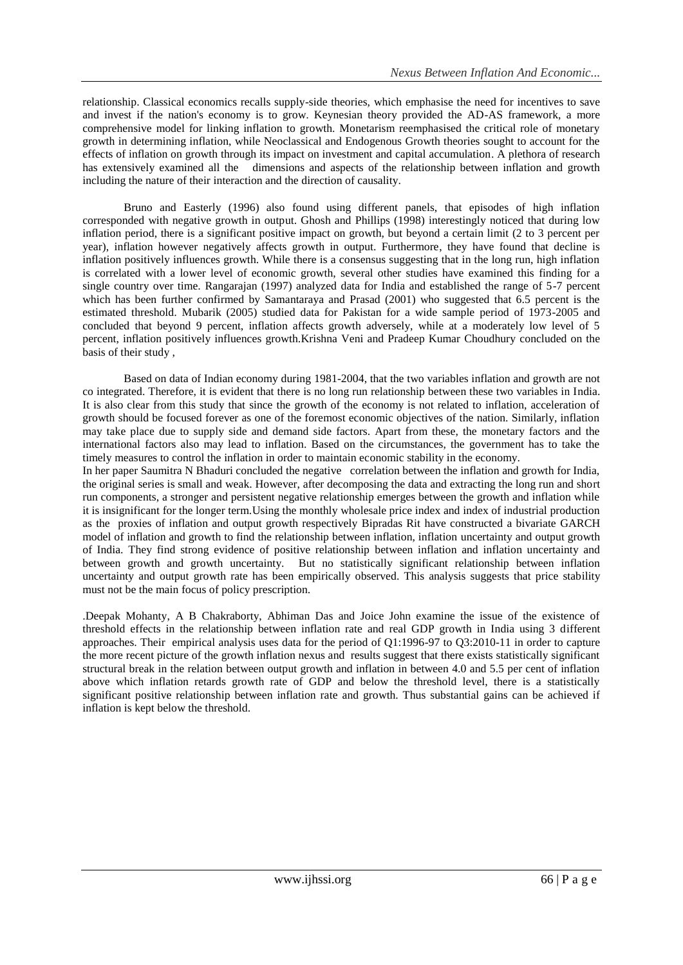relationship. Classical economics recalls supply-side theories, which emphasise the need for incentives to save and invest if the nation's economy is to grow. Keynesian theory provided the AD-AS framework, a more comprehensive model for linking inflation to growth. Monetarism reemphasised the critical role of monetary growth in determining inflation, while Neoclassical and Endogenous Growth theories sought to account for the effects of inflation on growth through its impact on investment and capital accumulation. A plethora of research has extensively examined all the dimensions and aspects of the relationship between inflation and growth including the nature of their interaction and the direction of causality.

Bruno and Easterly (1996) also found using different panels, that episodes of high inflation corresponded with negative growth in output. Ghosh and Phillips (1998) interestingly noticed that during low inflation period, there is a significant positive impact on growth, but beyond a certain limit (2 to 3 percent per year), inflation however negatively affects growth in output. Furthermore, they have found that decline is inflation positively influences growth. While there is a consensus suggesting that in the long run, high inflation is correlated with a lower level of economic growth, several other studies have examined this finding for a single country over time. Rangarajan (1997) analyzed data for India and established the range of 5-7 percent which has been further confirmed by Samantaraya and Prasad (2001) who suggested that 6.5 percent is the estimated threshold. Mubarik (2005) studied data for Pakistan for a wide sample period of 1973-2005 and concluded that beyond 9 percent, inflation affects growth adversely, while at a moderately low level of 5 percent, inflation positively influences growth.Krishna Veni and Pradeep Kumar Choudhury concluded on the basis of their study ,

Based on data of Indian economy during 1981-2004, that the two variables inflation and growth are not co integrated. Therefore, it is evident that there is no long run relationship between these two variables in India. It is also clear from this study that since the growth of the economy is not related to inflation, acceleration of growth should be focused forever as one of the foremost economic objectives of the nation. Similarly, inflation may take place due to supply side and demand side factors. Apart from these, the monetary factors and the international factors also may lead to inflation. Based on the circumstances, the government has to take the timely measures to control the inflation in order to maintain economic stability in the economy.

In her paper Saumitra N Bhaduri concluded the negative correlation between the inflation and growth for India, the original series is small and weak. However, after decomposing the data and extracting the long run and short run components, a stronger and persistent negative relationship emerges between the growth and inflation while it is insignificant for the longer term.Using the monthly wholesale price index and index of industrial production as the proxies of inflation and output growth respectively Bipradas Rit have constructed a bivariate GARCH model of inflation and growth to find the relationship between inflation, inflation uncertainty and output growth of India. They find strong evidence of positive relationship between inflation and inflation uncertainty and between growth and growth uncertainty. But no statistically significant relationship between inflation uncertainty and output growth rate has been empirically observed. This analysis suggests that price stability must not be the main focus of policy prescription.

.Deepak Mohanty, A B Chakraborty, Abhiman Das and Joice John examine the issue of the existence of threshold effects in the relationship between inflation rate and real GDP growth in India using 3 different approaches. Their empirical analysis uses data for the period of Q1:1996-97 to Q3:2010-11 in order to capture the more recent picture of the growth inflation nexus and results suggest that there exists statistically significant structural break in the relation between output growth and inflation in between 4.0 and 5.5 per cent of inflation above which inflation retards growth rate of GDP and below the threshold level, there is a statistically significant positive relationship between inflation rate and growth. Thus substantial gains can be achieved if inflation is kept below the threshold.